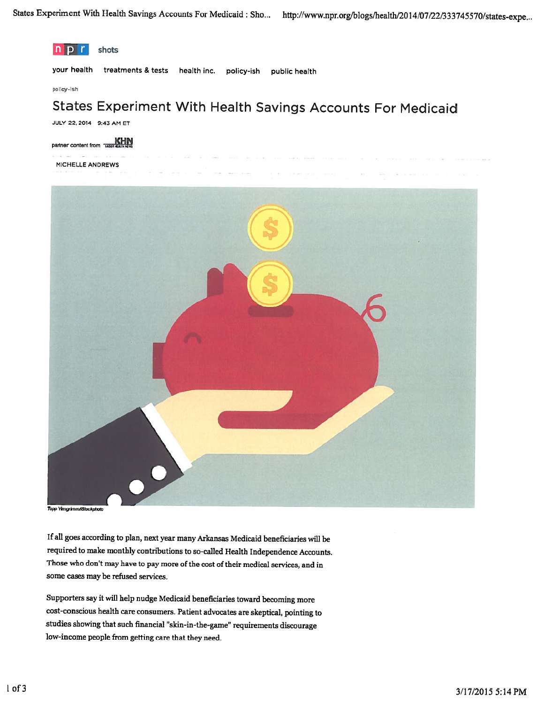

Topp YimgrimmAStockphoto

If all goes according to <sup>p</sup>lan, next year many Arkansas Medicaid beneficiaries will be required to make monthly contributions to so-called Health Independence Accounts. Those who don't may have to pay more of the cost of their medical services, and in some cases may be refused services.

Supporters say it will help nudge Medicaid beneficiaries toward becoming more cost-conscious health care consumers. Patient advocates are skeptical, pointing to studies showing that such financial "skin-in-the-game' requirements discourage low-income people from getting care that they need.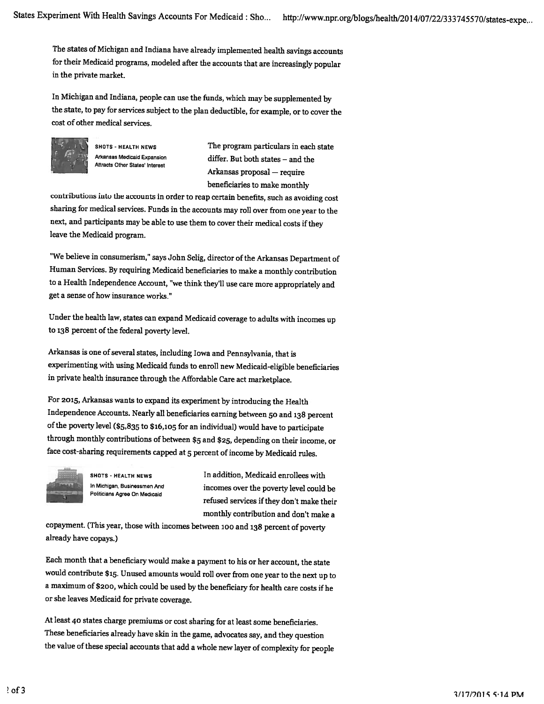The states of Michigan and Indiana have already implemented health savings accounts for their Medicaid programs, modeled after the accounts that are increasingly popular in the private market.

In Michigan and Indiana, people can use the funds, which may be supplemented by the state, to pay for services subject to the <sup>p</sup>lan deductible, for example, or to cover the cost of other medical services.



Attracts Other States' Interest

SHOTS - HEALTH NEWS The program particulars in each state Arkansas Medicaid Expansion differ. But both states — and the Arkansas proposal — require beneficiaries to make monthly

contributions into the accounts in order to reap certain benefits, such as avoiding cost sharing for medical services. Funds in the accounts may roll over from one year to the next, and participants may be able to use them to cover their medical costs if they leave the Medicaid program.

"We believe in consumerism," says John Selig, director of the Arkansas Department of Human Services. By requiring Medicaid beneficiaries to make <sup>a</sup> monthly contribution to <sup>a</sup> Health Independence Account, "we think they'll use care more appropriately and get <sup>a</sup> sense of how insurance works."

Under the health law, states can expand Medicaid coverage to adults with incomes up to 138 percent of the federal poverty level.

Arkansas is one of several states, including Iowa and Pennsylvania, that is experimenting with using Medicaid funds to enroll new Medicaid-eligible beneficiaries in private health insurance through the Affordable Care act marketplace.

For 2015, Arkansas wants to expand its experiment by introducing the Health Independence Accounts. Nearly all beneficiaries earning between <sup>50</sup> and <sup>138</sup> percent of the poverty level (\$5,835 to \$16,io5 for an individual) would have to participate through monthly contributions of between \$5 and \$25, depending on their income, or face cost-sharing requirements capped at <sup>5</sup> percent of income by Medicaid rules.



SHOTS - HEALTH NEWS **In addition**, Medicaid enrollees with In Michigan, Businessmen And incomes over the poverty level could be Politicians Agree On Medicaid refused services if they don't make their monthly contribution and don't make <sup>a</sup>

copayment. (This year, those with incomes between ioo and <sup>138</sup> percent of poverty already have copays.)

Each month that <sup>a</sup> beneficiary would make <sup>a</sup> payment to his or her account, the state would contribute \$15. Unused amounts would roll over from one year to the next up to <sup>a</sup> maximum of \$200, which could be used by the beneficiary for health care costs if he or she leaves Medicaid for private coverage.

At least <sup>40</sup> states charge premiums or cost sharing for at least some beneficiaries. These beneficiaries already have skin in the game, advocates say, and they question the value of these special accounts that add <sup>a</sup> whole new layer of complexity for people